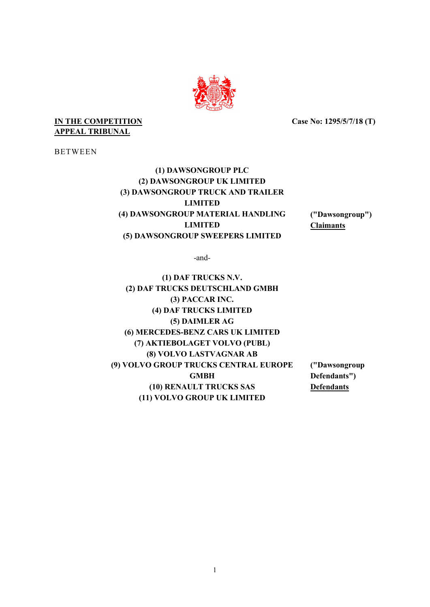

## **IN THE COMPETITION APPEAL TRIBUNAL**

**Case No: 1295/5/7/18 (T)** 

BETWEEN

**(1) DAWSONGROUP PLC (2) DAWSONGROUP UK LIMITED (3) DAWSONGROUP TRUCK AND TRAILER LIMITED (4) DAWSONGROUP MATERIAL HANDLING ("Dawsongroup") LIMITED Claimants (5) DAWSONGROUP SWEEPERS LIMITED**

-and-

**(1) DAF TRUCKS N.V. (2) DAF TRUCKS DEUTSCHLAND GMBH (3) PACCAR INC. (4) DAF TRUCKS LIMITED (5) DAIMLER AG (6) MERCEDES-BENZ CARS UK LIMITED (7) AKTIEBOLAGET VOLVO (PUBL) (8) VOLVO LASTVAGNAR AB (9) VOLVO GROUP TRUCKS CENTRAL EUROPE ("Dawsongroup GMBH Defendants") (10) RENAULT TRUCKS SAS Defendants (11) VOLVO GROUP UK LIMITED**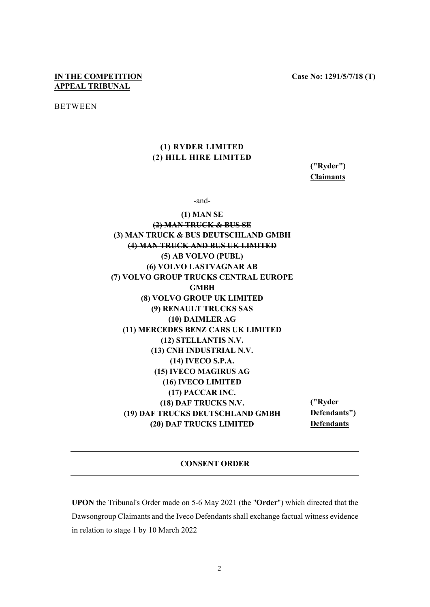# **IN THE COMPETITION APPEAL TRIBUNAL**

BETWEEN

# **(1) RYDER LIMITED (2) HILL HIRE LIMITED**

**("Ryder") Claimants** 

-and-

**(1) MAN SE (2) MAN TRUCK & BUS SE (3) MAN TRUCK & BUS DEUTSCHLAND GMBH (4) MAN TRUCK AND BUS UK LIMITED (5) AB VOLVO (PUBL) (6) VOLVO LASTVAGNAR AB (7) VOLVO GROUP TRUCKS CENTRAL EUROPE GMBH (8) VOLVO GROUP UK LIMITED (9) RENAULT TRUCKS SAS (10) DAIMLER AG (11) MERCEDES BENZ CARS UK LIMITED (12) STELLANTIS N.V. (13) CNH INDUSTRIAL N.V. (14) IVECO S.P.A. (15) IVECO MAGIRUS AG (16) IVECO LIMITED (17) PACCAR INC. (18) DAF TRUCKS N.V. ("Ryder (19) DAF TRUCKS DEUTSCHLAND GMBH Defendants") (20) DAF TRUCKS LIMITED Defendants**

#### **CONSENT ORDER**

**UPON** the Tribunal's Order made on 5-6 May 2021 (the "**Order**") which directed that the Dawsongroup Claimants and the Iveco Defendants shall exchange factual witness evidence in relation to stage 1 by 10 March 2022